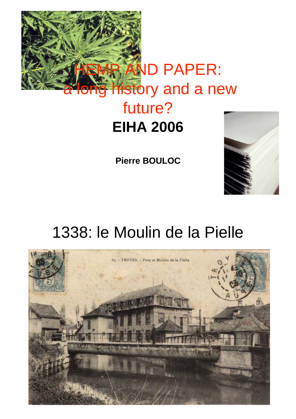

# future? **EIHA 2006**

**Pierre BOULOC**



# 1338: le Moulin de la Pielle

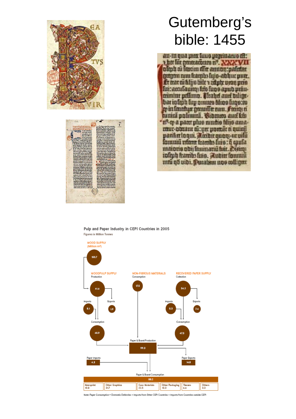



### Gutemberg's bible: 1455

an-m qua para luno prognamo eft: ther filt gantrarours nº. NNN VII oliob ai feccim difer annon : paletter getgem cum fracubs fuio-abbur putr. fir mat cu filipo bile a adule uson pris fuitaconfauno: frio fugo apud primminiur pellinio. Prahel auci bilimbar infront annuno filino funo: no go in fanninge groundler som. Frong: a tunini polimini. Gibmes autikis "ef-m a pater plue cundie filme amamur-binant di: yer poenie ei quiciji pacifice loquit. Monthit quong-ut will forunni reform frambs firio : q quila ntaioris obii fauinariu fuit. Dietoji ioliph frambs fino. Mutrix formul mtu qö uibi. Putaban noe miligat

Pulp and Paper Industry in CEPI Countries in 2005 Figures in Million Tonnes



Note: Paper Constimption = Domestic Deliveries + Imports from Other CEPI Countries + Imports from Countries outside CEPI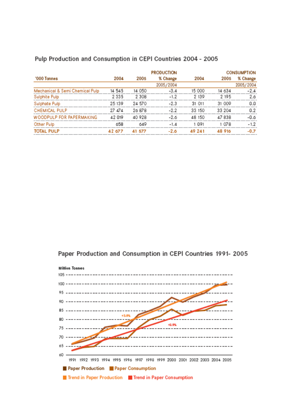|                                 | <b>PRODUCTION</b> |                   |           |        | <b>CONSUMPTION</b> |           |
|---------------------------------|-------------------|-------------------|-----------|--------|--------------------|-----------|
| '000 Tonnes                     | 2004              | 2005              | % Change  | 2004   | 2005               | % Change  |
|                                 |                   |                   | 2005/2004 |        |                    | 2005/2004 |
| Mechanical & Semi Chemical Pulp | 14 545            | 14 050            | -3.4      | 15 000 | 14 634             | $-2.4$    |
| Sulphite Pulp                   | 2 3 3 5           | 2.30 <sub>8</sub> | $-1.2$    | 2 139  | 2 195              | 2.6       |
| Sulphate Pulp                   | 25 139            | 24.570            | $-2.3$    | 31 011 | 31 009             | 0.0       |
| <b>CHEMICAL PULP</b>            | 27 A74            | 26.878            | -22       | 33 150 | 33.204             | 0.2       |
| WOODPULP FOR PAPERMAKING        | 42 019            | 40928             | -2.6      | 48 150 | 47838              | $-0.6$    |
| Other Pulp                      | 658               | 649               | $-1.4$    | 1 091  | 1 07.R             | $-1.2$    |
| <b>TOTAL PULP</b>               | <b>42.677</b>     | 41.577            | $-2.6$    | 49 241 | 48 916             | $-0.7$    |

#### Pulp Production and Consumption in CEPI Countries 2004 - 2005

Paper Production and Consumption in CEPI Countries 1991- 2005

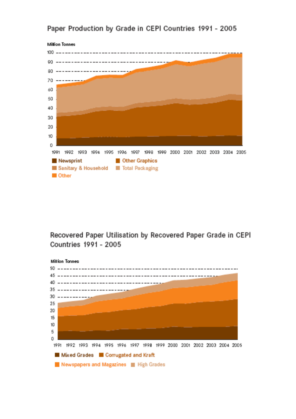

#### Paper Production by Grade in CEPI Countries 1991 - 2005

Recovered Paper Utilisation by Recovered Paper Grade in CEPI Countries 1991 - 2005

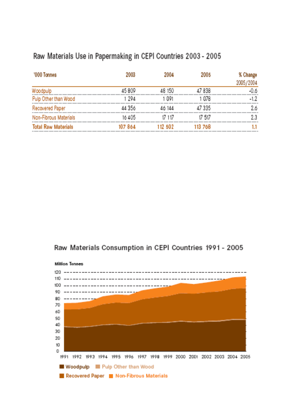### Raw Materials Use in Papermaking in CEPI Countries 2003 - 2005

| '000 Tonnes                | 2003   | 2004    | 2005    | % Change  |
|----------------------------|--------|---------|---------|-----------|
|                            |        |         |         | 2005/2004 |
| Woodpulp                   | 45809  | 48 150  | 47838   | -0.6      |
| Pulp Other than Wood       | 1 294  | 1 091   | 1 078   | -1.2      |
| Recovered Paper            | 44 356 | 46 144  | 47 335  | 2.6       |
| Non-Fibrous Materials      | 16405  | 17 117  | 17 517  |           |
| <b>Total Raw Materials</b> | 107864 | 112 502 | 113 768 |           |

#### Raw Materials Consumption in CEPI Countries 1991 - 2005

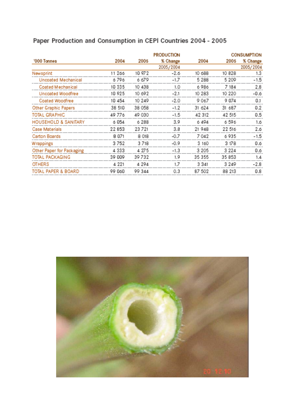|                           | <b>PRODUCTION</b> |         |           |         |         | <b>CONSUMPTION</b> |
|---------------------------|-------------------|---------|-----------|---------|---------|--------------------|
| '000 Tonnes               | 2004              | 2005    | % Change  | 2004    | 2005    | % Change           |
|                           |                   |         | 2005/2004 |         |         | 2005/2004          |
| Newsprint                 | 11 266            | 10 97 2 | $-2.6$    | 10 688  | 10 828  | 1.3                |
| Uncoated Mechanical       | 6796              | 6679    | $-1.7$    | 5 2 8 8 | 5 209   | $-1.5$             |
| Coated Mechanical         | 10335             | 10 438  | 1.0       | 6 986   | 7 184   | 2.8                |
| Uncoated Woodfree         | 10 925            | 10 692  | $-2.1$    | 10 283  | 10 220  | -0.6               |
| Coated Woodfree           | 10 454            | 10 249  | $-2.0$    | 9 067   | 9074    | 0.1                |
| Other Graphic Papers      | 38 510            | 38 058  | $-1.2$    | 31 624  | 31 687  | 0.2                |
| TOTAL GRAPHIC             | 49 776            | 49 030  | $-1.5$    | 42 312  | 42 515  | 0.5                |
| HOUSEHOLD & SANITARY      | 6 054             | 6288    | 3.9       | 6494    | 6596    | 1.6                |
| Case Materials            | 22853             | 23 7 21 | 3.8       | 21 948  | 22 516  | 2.6                |
| Carton Boards             | 8 071             | 8 018   | -0.7      | 7042    | 6935    | $-1.5$             |
| Wrappings                 | 3 752             | 3718    | $-0.9$    | 3 160   | 3 178   | 0.6                |
| Other Paper for Packaging | 4333              | 4 27 5  | $-1.3$    | 3 2 0 5 | 3 2 2 4 | 0.6                |
| TOTAL PACKAGING           | 39 009            | 39732   | 1.9       | 35 355  | 35 853  | 1.4                |
| <b>OTHERS</b>             | 4 2 2 1           | 4 2 9 4 | 1.7       | 3 3 4 1 | 3 2 4 9 | $-2.8$             |
| TOTAL PAPER & BOARD       | 99 060            | 99 344  | 0.3       | 87 502  | 88 213  | 0.8                |

### Paper Production and Consumption in CEPI Countries 2004 - 2005

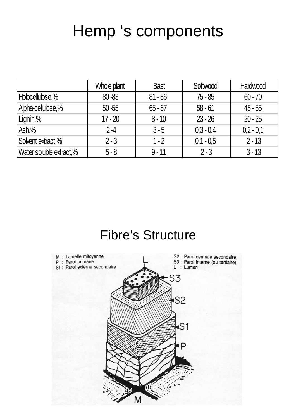# Hemp 's components

|                         | Whole plant | <b>Bast</b> | Softwood    | Hardwood    |
|-------------------------|-------------|-------------|-------------|-------------|
| Holocellulose,%         | $80 - 83$   | $81 - 86$   | $75 - 85$   | $60 - 70$   |
| Alpha-cellulose,%       | $50 - 55$   | $65 - 67$   | $58 - 61$   | $45 - 55$   |
| Lignin,%                | $17 - 20$   | $8 - 10$    | $23 - 26$   | $20 - 25$   |
| Ash,%                   | $2-4$       | $3 - 5$     | $0,3 - 0,4$ | $0,2 - 0,1$ |
| Solvent extract,%       | $2 - 3$     | $1 - 2$     | $0,1 - 0,5$ | $2 - 13$    |
| Water soluble extract,% | $5 - 8$     | $9 - 11$    | $2 - 3$     | $3 - 13$    |

### Fibre's Structure

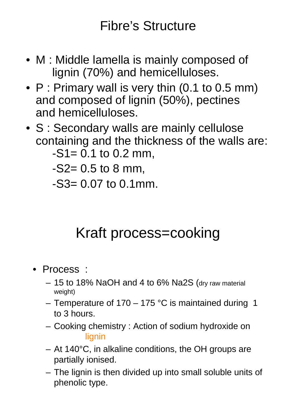### Fibre's Structure

- M : Middle lamella is mainly composed of lignin (70%) and hemicelluloses.
- P : Primary wall is very thin (0.1 to 0.5 mm) and composed of lignin (50%), pectines and hemicelluloses.
- S : Secondary walls are mainly cellulose containing and the thickness of the walls are:  $-S1 = 0.1$  to 0.2 mm,
	-

 $-S2= 0.5$  to 8 mm,

 $-S3= 0.07$  to 0.1mm.

## Kraft process=cooking

- Process :
	- 15 to 18% NaOH and 4 to 6% Na2S (dry raw material weight)
	- Temperature of  $170 175$  °C is maintained during 1 to 3 hours.
	- Cooking chemistry : Action of sodium hydroxide on lignin
	- At 140°C, in alkaline conditions, the OH groups are partially ionised.
	- The lignin is then divided up into small soluble units of phenolic type.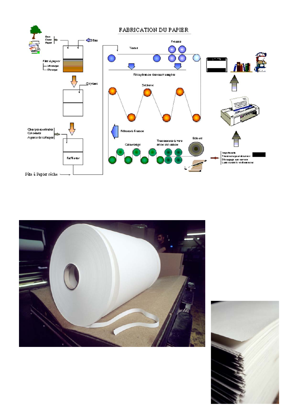



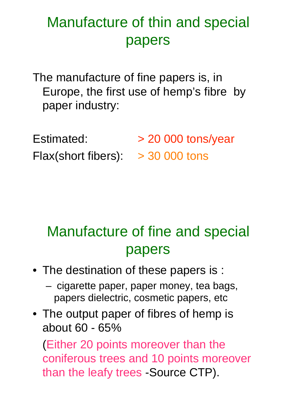## Manufacture of thin and special papers

The manufacture of fine papers is, in Europe, the first use of hemp's fibre by paper industry:

Estimated:  $> 20 000$  tons/year Flax(short fibers):  $>$  30 000 tons

## Manufacture of fine and special papers

- The destination of these papers is :
	- cigarette paper, paper money, tea bags, papers dielectric, cosmetic papers, etc
- The output paper of fibres of hemp is about 60 - 65%

(Either 20 points moreover than the coniferous trees and 10 points moreover than the leafy trees -Source CTP).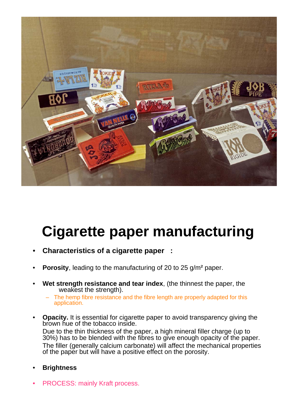

# **Cigarette paper manufacturing**

- **Characteristics of a cigarette paper :**
- **Porosity**, leading to the manufacturing of 20 to 25 g/m<sup>2</sup> paper.
- **Wet strength resistance and tear index**, (the thinnest the paper, the weakest the strength).
	- The hemp fibre resistance and the fibre length are properly adapted for this application.
- **Opacity.** It is essential for cigarette paper to avoid transparency giving the brown hue of the tobacco inside. Due to the thin thickness of the paper, a high mineral filler charge (up to 30%) has to be blended with the fibres to give enough opacity of the paper. The filler (generally calcium carbonate) will affect the mechanical properties of the paper but will have a positive effect on the porosity.
- **Brightness**
- PROCESS: mainly Kraft process.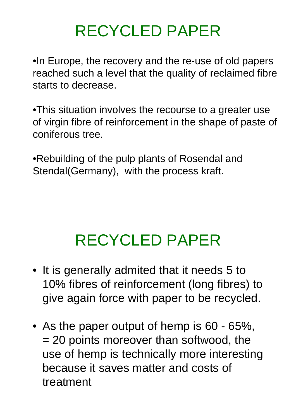# RECYCLED PAPER

•In Europe, the recovery and the re-use of old papers reached such a level that the quality of reclaimed fibre starts to decrease.

•This situation involves the recourse to a greater use of virgin fibre of reinforcement in the shape of paste of coniferous tree.

•Rebuilding of the pulp plants of Rosendal and Stendal(Germany), with the process kraft.

# RECYCLED PAPER

- It is generally admited that it needs 5 to 10% fibres of reinforcement (long fibres) to give again force with paper to be recycled.
- As the paper output of hemp is 60 65%, = 20 points moreover than softwood, the use of hemp is technically more interesting because it saves matter and costs of treatment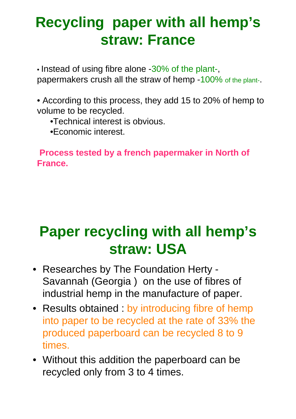## **Recycling paper with all hemp's straw: France**

• Instead of using fibre alone -30% of the plant-,

papermakers crush all the straw of hemp -100% of the plant-.

• According to this process, they add 15 to 20% of hemp to volume to be recycled.

- •Technical interest is obvious.
- •Economic interest.

**Process tested by a french papermaker in North of France.**

## **Paper recycling with all hemp's straw: USA**

- Researches by The Foundation Herty Savannah (Georgia ) on the use of fibres of industrial hemp in the manufacture of paper.
- Results obtained : by introducing fibre of hemp into paper to be recycled at the rate of 33% the produced paperboard can be recycled 8 to 9 times.
- Without this addition the paperboard can be recycled only from 3 to 4 times.